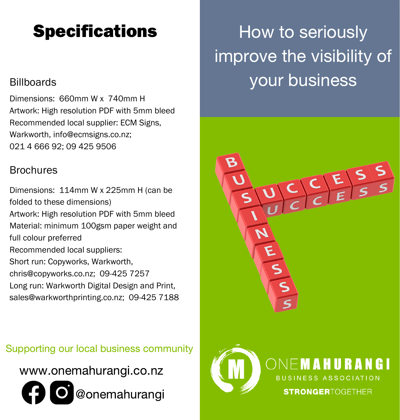## **Specifications**

### **Billboards**

Dimensions: 660mm W x 740mm H Artwork: High resolution PDF with 5mm bleed Recommended local supplier: ECM Signs, Warkworth, [info@ecmsigns.co.nz;](mailto:info@ecmsigns.co.nz) 021 4 666 92; 09 425 9506

#### **Brochures**

Dimensions: 114mm W x 225mm H (can be folded to these dimensions) Artwork: High resolution PDF with 5mm bleed Material: minimum 100gsm paper weight and full colour preferred Recommended local suppliers: Short run: Copyworks, Warkworth, chris@copyworks.co.nz; [09-425 7257](https://www.google.com/search?q=Copyworks+Warkworth&oq=Copyworks+Warkworth&aqs=chrome..69i57j0i22i30.3350j0j15&sourceid=chrome&ie=UTF-8#) Long run: Warkworth Digital Design and Print, sales@warkworthprinting.co.nz; [09-425 7188](https://www.google.com/search?sxsrf=ALeKk03Z6xDS6zz2XQ6hcP_iKbfrrfaqcg%3A1615331371829&ei=KwBIYOuYMvLYz7sPtYONyAQ&q=Warkworth+Digital+Design+and+Print&oq=Warkworth+Digital+Design+and+Print&gs_lcp=Cgdnd3Mtd2l6EAMyCwguEMcBEK8BEJMCOgQIIxAnOgQILhBDOgsILhDHARCvARCRAjoKCC4QxwEQrwEQQzoFCAAQkQI6BAgAEEM6CAgAELEDEIMBOgUIABCxAzoKCC4QxwEQrwEQJzoKCC4QxwEQowIQQzoICAAQsQMQkQI6BwguELEDEEM6DQguEIcCEMcBEK8BEBQ6BwgAEIcCEBQ6CAguEMcBEK8BOgIIADoQCC4QhwIQxwEQrwEQFBCTAjoCCC46CQgAEMkDEBYQHjoGCAAQFhAeOgIIJlCd3hFYk4ESYNeCEmgAcAB4AIABrQOIAaY_kgEIMi0zMC4zLjGYAQCgAQGqAQdnd3Mtd2l6wAEB&sclient=gws-wiz&ved=0ahUKEwir2vKkqqTvAhVy7HMBHbVBA0kQ4dUDCA4&uact=5#)

Supporting our local business community



How to seriously improve the visibility of your business